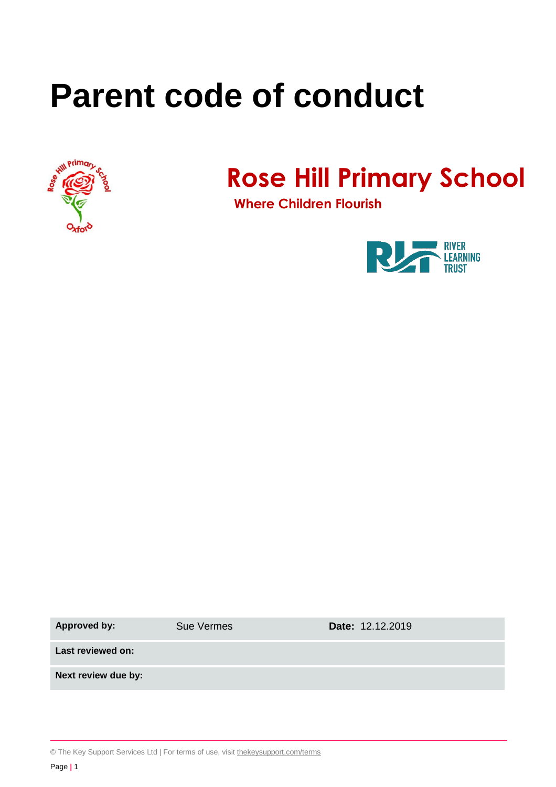# **Parent code of conduct**



## **Rose Hill Primary School**

**Where Children Flourish**



| <b>Approved by:</b> | <b>Sue Vermes</b> | Date: 12.12.2019 |
|---------------------|-------------------|------------------|
| Last reviewed on:   |                   |                  |
| Next review due by: |                   |                  |

© The Key Support Services Ltd | For terms of use, visit [thekeysupport.com/terms](https://thekeysupport.com/terms-of-use)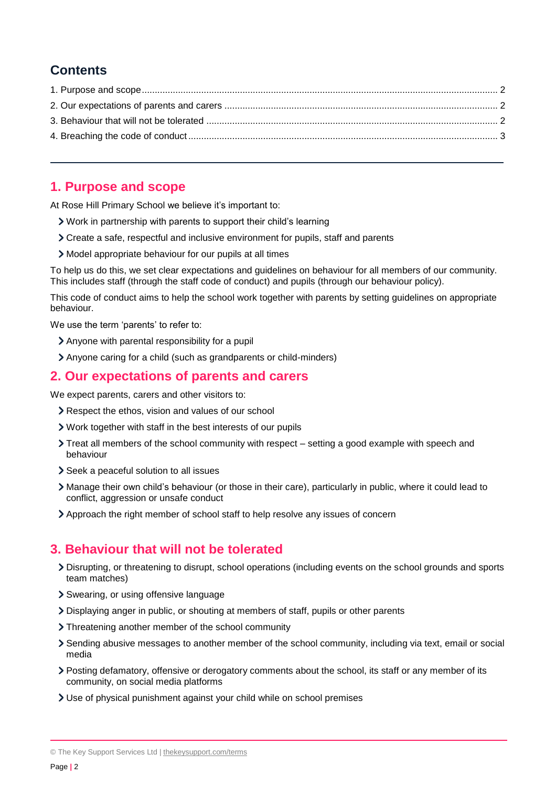### **Contents**

#### <span id="page-1-0"></span>**1. Purpose and scope**

At Rose Hill Primary School we believe it's important to:

- Work in partnership with parents to support their child's learning
- Create a safe, respectful and inclusive environment for pupils, staff and parents
- Model appropriate behaviour for our pupils at all times

To help us do this, we set clear expectations and guidelines on behaviour for all members of our community. This includes staff (through the staff code of conduct) and pupils (through our behaviour policy).

This code of conduct aims to help the school work together with parents by setting guidelines on appropriate behaviour.

We use the term 'parents' to refer to:

- Anyone with parental responsibility for a pupil
- Anyone caring for a child (such as grandparents or child-minders)

#### <span id="page-1-1"></span>**2. Our expectations of parents and carers**

We expect parents, carers and other visitors to:

- Respect the ethos, vision and values of our school
- Work together with staff in the best interests of our pupils
- Treat all members of the school community with respect setting a good example with speech and behaviour
- Seek a peaceful solution to all issues
- Manage their own child's behaviour (or those in their care), particularly in public, where it could lead to conflict, aggression or unsafe conduct
- Approach the right member of school staff to help resolve any issues of concern

#### <span id="page-1-2"></span>**3. Behaviour that will not be tolerated**

- Disrupting, or threatening to disrupt, school operations (including events on the school grounds and sports team matches)
- > Swearing, or using offensive language
- Displaying anger in public, or shouting at members of staff, pupils or other parents
- > Threatening another member of the school community
- Sending abusive messages to another member of the school community, including via text, email or social media
- Posting defamatory, offensive or derogatory comments about the school, its staff or any member of its community, on social media platforms
- Use of physical punishment against your child while on school premises

<sup>©</sup> The Key Support Services Ltd | [thekeysupport.com/terms](https://thekeysupport.com/terms-of-use)